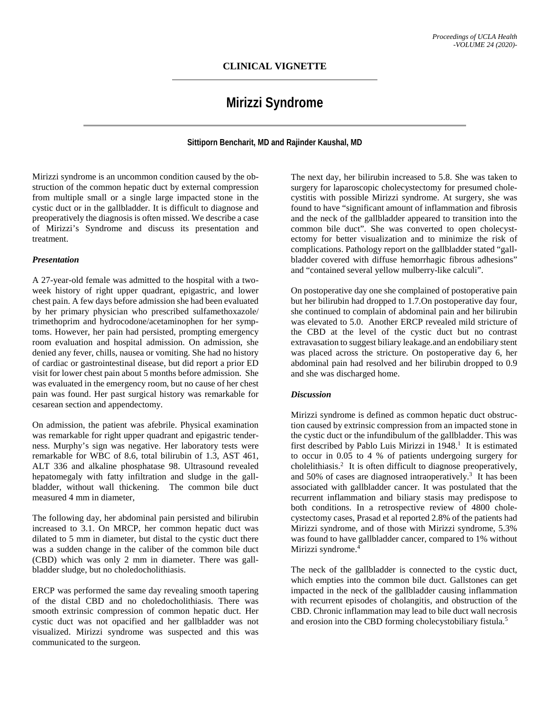## **CLINICAL VIGNETTE**

# **Mirizzi Syndrome**

**Sittiporn Bencharit, MD and Rajinder Kaushal, MD**

Mirizzi syndrome is an uncommon condition caused by the obstruction of the common hepatic duct by external compression from multiple small or a single large impacted stone in the cystic duct or in the gallbladder. It is difficult to diagnose and preoperatively the diagnosis is often missed. We describe a case of Mirizzi's Syndrome and discuss its presentation and treatment.

#### *Presentation*

A 27-year-old female was admitted to the hospital with a twoweek history of right upper quadrant, epigastric, and lower chest pain. A few days before admission she had been evaluated by her primary physician who prescribed sulfamethoxazole/ trimethoprim and hydrocodone/acetaminophen for her symptoms. However, her pain had persisted, prompting emergency room evaluation and hospital admission. On admission, she denied any fever, chills, nausea or vomiting. She had no history of cardiac or gastrointestinal disease, but did report a prior ED visit for lower chest pain about 5 months before admission. She was evaluated in the emergency room, but no cause of her chest pain was found. Her past surgical history was remarkable for cesarean section and appendectomy.

On admission, the patient was afebrile. Physical examination was remarkable for right upper quadrant and epigastric tenderness. Murphy's sign was negative. Her laboratory tests were remarkable for WBC of 8.6, total bilirubin of 1.3, AST 461, ALT 336 and alkaline phosphatase 98. Ultrasound revealed hepatomegaly with fatty infiltration and sludge in the gallbladder, without wall thickening. The common bile duct measured 4 mm in diameter,

The following day, her abdominal pain persisted and bilirubin increased to 3.1. On MRCP, her common hepatic duct was dilated to 5 mm in diameter, but distal to the cystic duct there was a sudden change in the caliber of the common bile duct (CBD) which was only 2 mm in diameter. There was gallbladder sludge, but no choledocholithiasis.

ERCP was performed the same day revealing smooth tapering of the distal CBD and no choledocholithiasis. There was smooth extrinsic compression of common hepatic duct. Her cystic duct was not opacified and her gallbladder was not visualized. Mirizzi syndrome was suspected and this was communicated to the surgeon.

The next day, her bilirubin increased to 5.8. She was taken to surgery for laparoscopic cholecystectomy for presumed cholecystitis with possible Mirizzi syndrome. At surgery, she was found to have "significant amount of inflammation and fibrosis and the neck of the gallbladder appeared to transition into the common bile duct". She was converted to open cholecystectomy for better visualization and to minimize the risk of complications. Pathology report on the gallbladder stated "gallbladder covered with diffuse hemorrhagic fibrous adhesions" and "contained several yellow mulberry-like calculi".

On postoperative day one she complained of postoperative pain but her bilirubin had dropped to 1.7.On postoperative day four, she continued to complain of abdominal pain and her bilirubin was elevated to 5.0. Another ERCP revealed mild stricture of the CBD at the level of the cystic duct but no contrast extravasation to suggest biliary leakage.and an endobiliary stent was placed across the stricture. On postoperative day 6, her abdominal pain had resolved and her bilirubin dropped to 0.9 and she was discharged home.

### *Discussion*

Mirizzi syndrome is defined as common hepatic duct obstruction caused by extrinsic compression from an impacted stone in the cystic duct or the infundibulum of the gallbladder. This was first described by Pablo Luis Mirizzi in  $1948$ .<sup>1</sup> It is estimated to occur in 0.05 to 4 % of patients undergoing surgery for cholelithiasis.<sup>2</sup> It is often difficult to diagnose preoperatively, and 50% of cases are diagnosed intraoperatively.<sup>3</sup> It has been associated with gallbladder cancer. It was postulated that the recurrent inflammation and biliary stasis may predispose to both conditions. In a retrospective review of 4800 cholecystectomy cases, Prasad et al reported 2.8% of the patients had Mirizzi syndrome, and of those with Mirizzi syndrome, 5.3% was found to have gallbladder cancer, compared to 1% without Mirizzi syndrome.<sup>4</sup>

The neck of the gallbladder is connected to the cystic duct, which empties into the common bile duct. Gallstones can get impacted in the neck of the gallbladder causing inflammation with recurrent episodes of cholangitis, and obstruction of the CBD. Chronic inflammation may lead to bile duct wall necrosis and erosion into the CBD forming cholecystobiliary fistula.5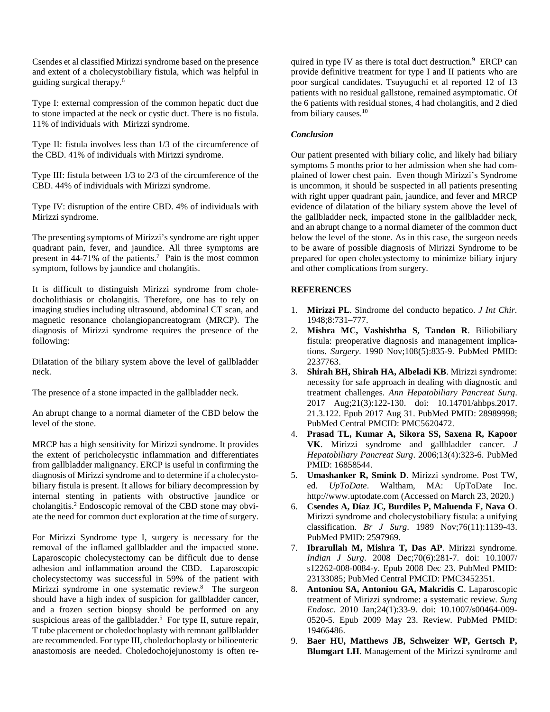Csendes et al classified Mirizzi syndrome based on the presence and extent of a cholecystobiliary fistula, which was helpful in guiding surgical therapy.6

Type I: external compression of the common hepatic duct due to stone impacted at the neck or cystic duct. There is no fistula. 11% of individuals with Mirizzi syndrome.

Type II: fistula involves less than 1/3 of the circumference of the CBD. 41% of individuals with Mirizzi syndrome.

Type III: fistula between 1/3 to 2/3 of the circumference of the CBD. 44% of individuals with Mirizzi syndrome.

Type IV: disruption of the entire CBD. 4% of individuals with Mirizzi syndrome.

The presenting symptoms of Mirizzi's syndrome are right upper quadrant pain, fever, and jaundice. All three symptoms are present in 44-71% of the patients.<sup>7</sup> Pain is the most common symptom, follows by jaundice and cholangitis.

It is difficult to distinguish Mirizzi syndrome from choledocholithiasis or cholangitis. Therefore, one has to rely on imaging studies including ultrasound, abdominal CT scan, and magnetic resonance cholangiopancreatogram (MRCP). The diagnosis of Mirizzi syndrome requires the presence of the following:

Dilatation of the biliary system above the level of gallbladder neck.

The presence of a stone impacted in the gallbladder neck.

An abrupt change to a normal diameter of the CBD below the level of the stone.

MRCP has a high sensitivity for Mirizzi syndrome. It provides the extent of pericholecystic inflammation and differentiates from gallbladder malignancy. ERCP is useful in confirming the diagnosis of Mirizzi syndrome and to determine if a cholecystobiliary fistula is present. It allows for biliary decompression by internal stenting in patients with obstructive jaundice or cholangitis.2 Endoscopic removal of the CBD stone may obviate the need for common duct exploration at the time of surgery.

For Mirizzi Syndrome type I, surgery is necessary for the removal of the inflamed gallbladder and the impacted stone. Laparoscopic cholecystectomy can be difficult due to dense adhesion and inflammation around the CBD. Laparoscopic cholecystectomy was successful in 59% of the patient with Mirizzi syndrome in one systematic review.<sup>8</sup> The surgeon should have a high index of suspicion for gallbladder cancer, and a frozen section biopsy should be performed on any suspicious areas of the gallbladder.<sup>5</sup> For type II, suture repair, T tube placement or choledochoplasty with remnant gallbladder are recommended. For type III, choledochoplasty or bilioenteric anastomosis are needed. Choledochojejunostomy is often re-

quired in type IV as there is total duct destruction.<sup>9</sup> ERCP can provide definitive treatment for type I and II patients who are poor surgical candidates. Tsuyuguchi et al reported 12 of 13 patients with no residual gallstone, remained asymptomatic. Of the 6 patients with residual stones, 4 had cholangitis, and 2 died from biliary causes.<sup>10</sup>

## *Conclusion*

Our patient presented with biliary colic, and likely had biliary symptoms 5 months prior to her admission when she had complained of lower chest pain. Even though Mirizzi's Syndrome is uncommon, it should be suspected in all patients presenting with right upper quadrant pain, jaundice, and fever and MRCP evidence of dilatation of the biliary system above the level of the gallbladder neck, impacted stone in the gallbladder neck, and an abrupt change to a normal diameter of the common duct below the level of the stone. As in this case, the surgeon needs to be aware of possible diagnosis of Mirizzi Syndrome to be prepared for open cholecystectomy to minimize biliary injury and other complications from surgery.

## **REFERENCES**

- 1. **Mirizzi PL**. Sindrome del conducto hepatico. *J Int Chir*. 1948;8:731–777.
- 2. **Mishra MC, Vashishtha S, Tandon R**. Biliobiliary fistula: preoperative diagnosis and management implications. *Surgery*. 1990 Nov;108(5):835-9. PubMed PMID: 2237763.
- 3. **Shirah BH, Shirah HA, Albeladi KB**. Mirizzi syndrome: necessity for safe approach in dealing with diagnostic and treatment challenges. *Ann Hepatobiliary Pancreat Surg*. 2017 Aug;21(3):122-130. doi: 10.14701/ahbps.2017. 21.3.122. Epub 2017 Aug 31. PubMed PMID: 28989998; PubMed Central PMCID: PMC5620472.
- 4. **Prasad TL, Kumar A, Sikora SS, Saxena R, Kapoor VK**. Mirizzi syndrome and gallbladder cancer. *J Hepatobiliary Pancreat Surg*. 2006;13(4):323-6. PubMed PMID: 16858544.
- 5. **Umashanker R, Smink D**. Mirizzi syndrome. Post TW, ed. *UpToDate*. Waltham, MA: UpToDate Inc. http://www.uptodate.com (Accessed on March 23, 2020.)
- 6. **Csendes A, Díaz JC, Burdiles P, Maluenda F, Nava O**. Mirizzi syndrome and cholecystobiliary fistula: a unifying classification. *Br J Surg*. 1989 Nov;76(11):1139-43. PubMed PMID: 2597969.
- 7. **Ibrarullah M, Mishra T, Das AP**. Mirizzi syndrome. *Indian J Surg*. 2008 Dec;70(6):281-7. doi: 10.1007/ s12262-008-0084-y. Epub 2008 Dec 23. PubMed PMID: 23133085; PubMed Central PMCID: PMC3452351.
- 8. **Antoniou SA, Antoniou GA, Makridis C**. Laparoscopic treatment of Mirizzi syndrome: a systematic review. *Surg Endosc*. 2010 Jan;24(1):33-9. doi: 10.1007/s00464-009- 0520-5. Epub 2009 May 23. Review. PubMed PMID: 19466486.
- 9. **Baer HU, Matthews JB, Schweizer WP, Gertsch P, Blumgart LH**. Management of the Mirizzi syndrome and